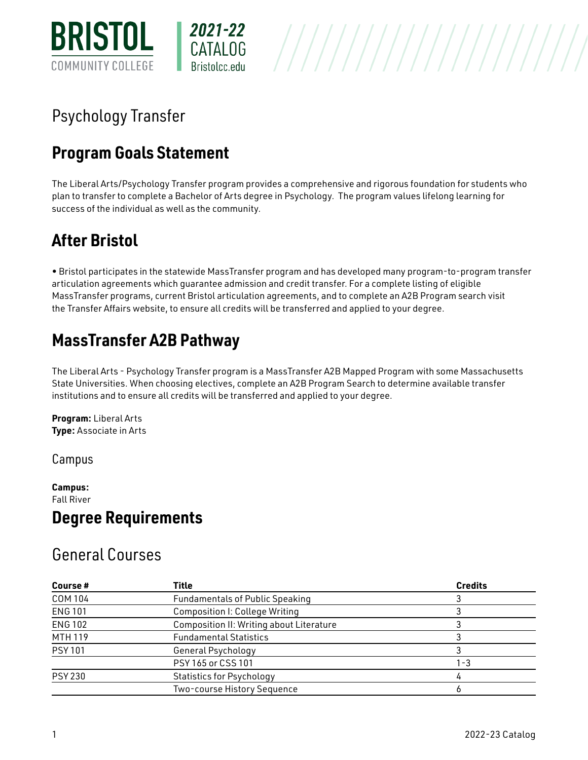

# Psychology Transfer

## **Program Goals Statement**

The Liberal Arts/Psychology Transfer program provides a comprehensive and rigorous foundation for students who plan to transfer to complete a Bachelor of Arts degree in Psychology. The program values lifelong learning for success of the individual as well as the community.

# **After Bristol**

• Bristol participates in the statewide MassTransfer program and has developed many program-to-program transfer articulation agreements which guarantee admission and credit transfer. For a complete listing of eligible MassTransfer programs, current Bristol articulation agreements, and to complete an A2B Program search visit the [Transfer Affairs website](http://www.bristolcc.edu/bristolcommunity/currentstudents/transferservices/masstransfer/), to ensure all credits will be transferred and applied to your degree.

## **MassTransfer A2B Pathway**

The Liberal Arts - Psychology Transfer program is a MassTransfer A2B Mapped Program with some Massachusetts State Universities. When choosing electives, complete an [A2B Program Search](http://www.mass.edu/masstransfer) to determine available transfer institutions and to ensure all credits will be transferred and applied to your degree.

**Program:** [Liberal Arts](http://live-bristol-catalog.pantheonsite.io/liberal-arts)  **Type:** Associate in Arts

Campus

**Campus:**  [Fall River](http://live-bristol-catalog.pantheonsite.io/taxonomy/term/1709)  **Degree Requirements** 

### General Courses

| Course#        | <b>Title</b>                                    | <b>Credits</b> |
|----------------|-------------------------------------------------|----------------|
| COM 104        | <b>Fundamentals of Public Speaking</b>          |                |
| <b>ENG 101</b> | <b>Composition I: College Writing</b>           |                |
| <b>ENG 102</b> | <b>Composition II: Writing about Literature</b> |                |
| <b>MTH 119</b> | <b>Fundamental Statistics</b>                   |                |
| <b>PSY 101</b> | General Psychology                              |                |
|                | PSY 165 or CSS 101                              | -3             |
| <b>PSY 230</b> | <b>Statistics for Psychology</b>                |                |
|                | Two-course History Sequence                     |                |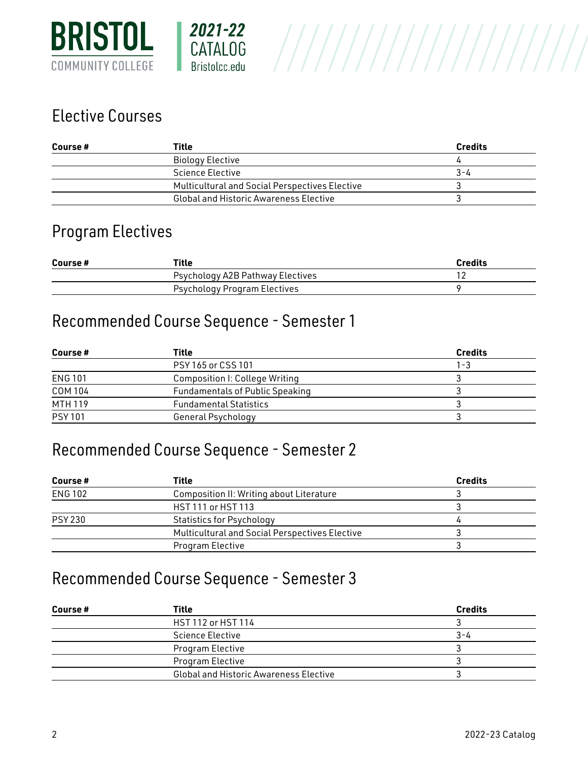

### Elective Courses

| Course# | Title                                          | <b>Credits</b> |
|---------|------------------------------------------------|----------------|
|         | Biology Elective                               |                |
|         | <b>Science Elective</b>                        | 3-4            |
|         | Multicultural and Social Perspectives Elective |                |
|         | <b>Global and Historic Awareness Elective</b>  |                |

#### Program Electives

| Course# | Title                            | <b>Credits</b> |
|---------|----------------------------------|----------------|
|         | Psychology A2B Pathway Electives |                |
|         | Psychology Program Electives     |                |

#### Recommended Course Sequence - Semester 1

| Course #       | Title                                  | <b>Credits</b> |
|----------------|----------------------------------------|----------------|
|                | PSY 165 or CSS 101                     | 1-3            |
| <b>ENG 101</b> | <b>Composition I: College Writing</b>  |                |
| COM 104        | <b>Fundamentals of Public Speaking</b> |                |
| MTH 119        | <b>Fundamental Statistics</b>          |                |
| <b>PSY 101</b> | General Psychology                     |                |

#### Recommended Course Sequence - Semester 2

| Course #       | Title                                                 | <b>Credits</b> |
|----------------|-------------------------------------------------------|----------------|
| <b>ENG 102</b> | Composition II: Writing about Literature              |                |
|                | HST 111 or HST 113                                    |                |
| <b>PSY 230</b> | <b>Statistics for Psychology</b>                      |                |
|                | <b>Multicultural and Social Perspectives Elective</b> |                |
|                | Program Elective                                      |                |

### Recommended Course Sequence - Semester 3

| Course # | <b>Title</b>                                  | <b>Credits</b> |
|----------|-----------------------------------------------|----------------|
|          | HST 112 or HST 114                            |                |
|          | Science Elective                              | 3-4            |
|          | Program Elective                              |                |
|          | Program Elective                              |                |
|          | <b>Global and Historic Awareness Elective</b> |                |